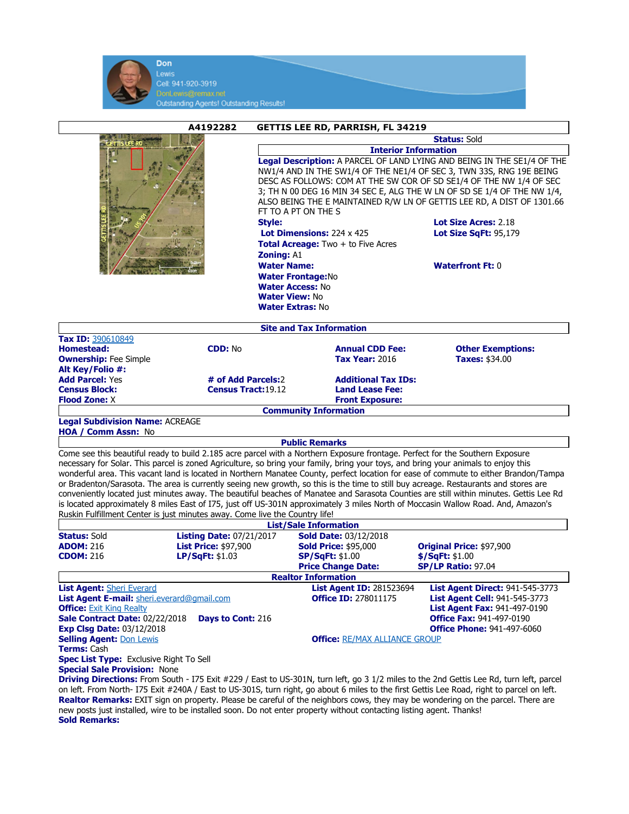

|                                                                                        | A4192282                                                                    | <b>GETTIS LEE RD, PARRISH, FL 34219</b>                                                                                                                                                             |                                                                                                                                                                                                                                                                                                                                                                                                                                                                 |  |  |
|----------------------------------------------------------------------------------------|-----------------------------------------------------------------------------|-----------------------------------------------------------------------------------------------------------------------------------------------------------------------------------------------------|-----------------------------------------------------------------------------------------------------------------------------------------------------------------------------------------------------------------------------------------------------------------------------------------------------------------------------------------------------------------------------------------------------------------------------------------------------------------|--|--|
|                                                                                        |                                                                             | <b>Status: Sold</b>                                                                                                                                                                                 |                                                                                                                                                                                                                                                                                                                                                                                                                                                                 |  |  |
|                                                                                        |                                                                             | <b>Interior Information</b>                                                                                                                                                                         |                                                                                                                                                                                                                                                                                                                                                                                                                                                                 |  |  |
|                                                                                        | <b>Style:</b><br><b>Zoning: A1</b>                                          | FT TO A PT ON THE S<br>Lot Dimensions: 224 x 425<br><b>Total Acreage:</b> Two + to Five Acres<br><b>Water Name:</b><br><b>Water Frontage:No</b><br><b>Water Access: No</b><br><b>Water View: No</b> | Legal Description: A PARCEL OF LAND LYING AND BEING IN THE SE1/4 OF THE<br>NW1/4 AND IN THE SW1/4 OF THE NE1/4 OF SEC 3, TWN 33S, RNG 19E BEING<br>DESC AS FOLLOWS: COM AT THE SW COR OF SD SE1/4 OF THE NW 1/4 OF SEC<br>3; TH N 00 DEG 16 MIN 34 SEC E, ALG THE W LN OF SD SE 1/4 OF THE NW 1/4,<br>ALSO BEING THE E MAINTAINED R/W LN OF GETTIS LEE RD, A DIST OF 1301.66<br>Lot Size Acres: 2.18<br><b>Lot Size SaFt: 95.179</b><br><b>Waterfront Ft: 0</b> |  |  |
|                                                                                        |                                                                             | <b>Water Extras: No</b>                                                                                                                                                                             |                                                                                                                                                                                                                                                                                                                                                                                                                                                                 |  |  |
|                                                                                        |                                                                             | <b>Site and Tax Information</b>                                                                                                                                                                     |                                                                                                                                                                                                                                                                                                                                                                                                                                                                 |  |  |
| Tax ID: 390610849                                                                      |                                                                             |                                                                                                                                                                                                     |                                                                                                                                                                                                                                                                                                                                                                                                                                                                 |  |  |
| <b>Homestead:</b><br><b>Ownership:</b> Fee Simple<br>Alt Key/Folio #:                  | <b>CDD: No</b>                                                              | <b>Annual CDD Fee:</b><br><b>Tax Year: 2016</b>                                                                                                                                                     | <b>Other Exemptions:</b><br><b>Taxes: \$34.00</b>                                                                                                                                                                                                                                                                                                                                                                                                               |  |  |
| <b>Add Parcel: Yes</b>                                                                 | # of Add Parcels:2                                                          | <b>Additional Tax IDs:</b>                                                                                                                                                                          |                                                                                                                                                                                                                                                                                                                                                                                                                                                                 |  |  |
| <b>Census Block:</b>                                                                   | <b>Census Tract: 19.12</b>                                                  | <b>Land Lease Fee:</b>                                                                                                                                                                              |                                                                                                                                                                                                                                                                                                                                                                                                                                                                 |  |  |
| <b>Flood Zone: X</b>                                                                   |                                                                             | <b>Front Exposure:</b>                                                                                                                                                                              |                                                                                                                                                                                                                                                                                                                                                                                                                                                                 |  |  |
|                                                                                        |                                                                             | <b>Community Information</b>                                                                                                                                                                        |                                                                                                                                                                                                                                                                                                                                                                                                                                                                 |  |  |
| <b>Legal Subdivision Name: ACREAGE</b>                                                 |                                                                             |                                                                                                                                                                                                     |                                                                                                                                                                                                                                                                                                                                                                                                                                                                 |  |  |
| HOA / Comm Assn: No                                                                    |                                                                             |                                                                                                                                                                                                     |                                                                                                                                                                                                                                                                                                                                                                                                                                                                 |  |  |
|                                                                                        |                                                                             | <b>Public Remarks</b>                                                                                                                                                                               |                                                                                                                                                                                                                                                                                                                                                                                                                                                                 |  |  |
|                                                                                        |                                                                             | Come see this beautiful ready to build 2.185 acre parcel with a Northern Exposure frontage. Perfect for the Southern Exposure                                                                       |                                                                                                                                                                                                                                                                                                                                                                                                                                                                 |  |  |
|                                                                                        |                                                                             | necessary for Solar. This parcel is zoned Agriculture, so bring your family, bring your toys, and bring your animals to enjoy this                                                                  |                                                                                                                                                                                                                                                                                                                                                                                                                                                                 |  |  |
|                                                                                        |                                                                             |                                                                                                                                                                                                     | wonderful area. This vacant land is located in Northern Manatee County, perfect location for ease of commute to either Brandon/Tampa                                                                                                                                                                                                                                                                                                                            |  |  |
|                                                                                        |                                                                             | or Bradenton/Sarasota. The area is currently seeing new growth, so this is the time to still buy acreage. Restaurants and stores are                                                                |                                                                                                                                                                                                                                                                                                                                                                                                                                                                 |  |  |
|                                                                                        |                                                                             |                                                                                                                                                                                                     | conveniently located just minutes away. The beautiful beaches of Manatee and Sarasota Counties are still within minutes. Gettis Lee Rd                                                                                                                                                                                                                                                                                                                          |  |  |
|                                                                                        |                                                                             |                                                                                                                                                                                                     | is located approximately 8 miles East of I75, just off US-301N approximately 3 miles North of Moccasin Wallow Road. And, Amazon's                                                                                                                                                                                                                                                                                                                               |  |  |
|                                                                                        | Ruskin Fulfillment Center is just minutes away. Come live the Country life! |                                                                                                                                                                                                     |                                                                                                                                                                                                                                                                                                                                                                                                                                                                 |  |  |
|                                                                                        |                                                                             | <b>List/Sale Information</b>                                                                                                                                                                        |                                                                                                                                                                                                                                                                                                                                                                                                                                                                 |  |  |
| <b>Listing Date: 07/21/2017</b><br><b>Sold Date: 03/12/2018</b><br><b>Status: Sold</b> |                                                                             |                                                                                                                                                                                                     |                                                                                                                                                                                                                                                                                                                                                                                                                                                                 |  |  |
| <b>ADOM: 216</b>                                                                       | <b>List Price: \$97,900</b>                                                 | <b>Sold Price: \$95,000</b>                                                                                                                                                                         | Original Price: \$97,900                                                                                                                                                                                                                                                                                                                                                                                                                                        |  |  |
| <b>CDOM: 216</b>                                                                       | LP/SqFt: \$1.03                                                             | <b>SP/SqFt: \$1.00</b>                                                                                                                                                                              | \$/SqFt: \$1.00                                                                                                                                                                                                                                                                                                                                                                                                                                                 |  |  |

| <b>CDOM:</b> 216                                  |  | <b>LP/SGFT: \$1.03</b>   | SP/SET: \$1.00                       | \$/SQFL: \$1.00                        |  |  |
|---------------------------------------------------|--|--------------------------|--------------------------------------|----------------------------------------|--|--|
|                                                   |  |                          | <b>Price Change Date:</b>            | <b>SP/LP Ratio: 97.04</b>              |  |  |
| <b>Realtor Information</b>                        |  |                          |                                      |                                        |  |  |
| <b>List Agent: Sheri Everard</b>                  |  |                          | <b>List Agent ID: 281523694</b>      | <b>List Agent Direct: 941-545-3773</b> |  |  |
| <b>List Agent E-mail:</b> sheri.everard@gmail.com |  |                          | <b>Office ID: 278011175</b>          | <b>List Agent Cell: 941-545-3773</b>   |  |  |
| <b>Office:</b> Exit King Realty                   |  |                          |                                      | <b>List Agent Fax: 941-497-0190</b>    |  |  |
| Sale Contract Date: 02/22/2018                    |  | <b>Days to Cont: 216</b> |                                      | <b>Office Fax: 941-497-0190</b>        |  |  |
| <b>Exp Clsg Date: 03/12/2018</b>                  |  |                          |                                      | <b>Office Phone: 941-497-6060</b>      |  |  |
| <b>Selling Agent: Don Lewis</b>                   |  |                          | <b>Office: RE/MAX ALLIANCE GROUP</b> |                                        |  |  |
|                                                   |  |                          |                                      |                                        |  |  |

Terms: Cash Spec List Type: Exclusive Right To Sell Special Sale Provision: None

Driving Directions: From South - I75 Exit #229 / East to US-301N, turn left, go 3 1/2 miles to the 2nd Gettis Lee Rd, turn left, parcel on left. From North- I75 Exit #240A / East to US-301S, turn right, go about 6 miles to the first Gettis Lee Road, right to parcel on left. Realtor Remarks: EXIT sign on property. Please be careful of the neighbors cows, they may be wondering on the parcel. There are new posts just installed, wire to be installed soon. Do not enter property without contacting listing agent. Thanks! Sold Remarks: